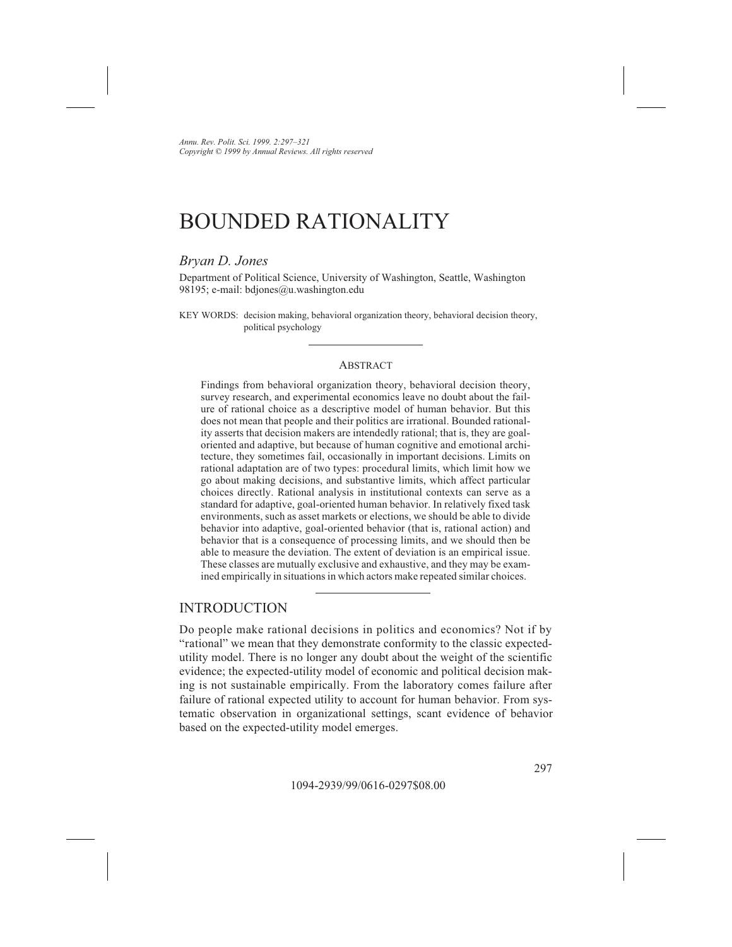# BOUNDED RATIONALITY

# *Bryan D. Jones*

Department of Political Science, University of Washington, Seattle, Washington 98195; e-mail: bdjones@u.washington.edu

KEY WORDS: decision making, behavioral organization theory, behavioral decision theory, political psychology

#### ABSTRACT

Findings from behavioral organization theory, behavioral decision theory, survey research, and experimental economics leave no doubt about the failure of rational choice as a descriptive model of human behavior. But this does not mean that people and their politics are irrational. Bounded rationality asserts that decision makers are intendedly rational; that is, they are goaloriented and adaptive, but because of human cognitive and emotional architecture, they sometimes fail, occasionally in important decisions. Limits on rational adaptation are of two types: procedural limits, which limit how we go about making decisions, and substantive limits, which affect particular choices directly. Rational analysis in institutional contexts can serve as a standard for adaptive, goal-oriented human behavior. In relatively fixed task environments, such as asset markets or elections, we should be able to divide behavior into adaptive, goal-oriented behavior (that is, rational action) and behavior that is a consequence of processing limits, and we should then be able to measure the deviation. The extent of deviation is an empirical issue. These classes are mutually exclusive and exhaustive, and they may be examined empirically in situations in which actors make repeated similar choices.

## INTRODUCTION

Do people make rational decisions in politics and economics? Not if by "rational" we mean that they demonstrate conformity to the classic expectedutility model. There is no longer any doubt about the weight of the scientific evidence; the expected-utility model of economic and political decision making is not sustainable empirically. From the laboratory comes failure after failure of rational expected utility to account for human behavior. From systematic observation in organizational settings, scant evidence of behavior based on the expected-utility model emerges.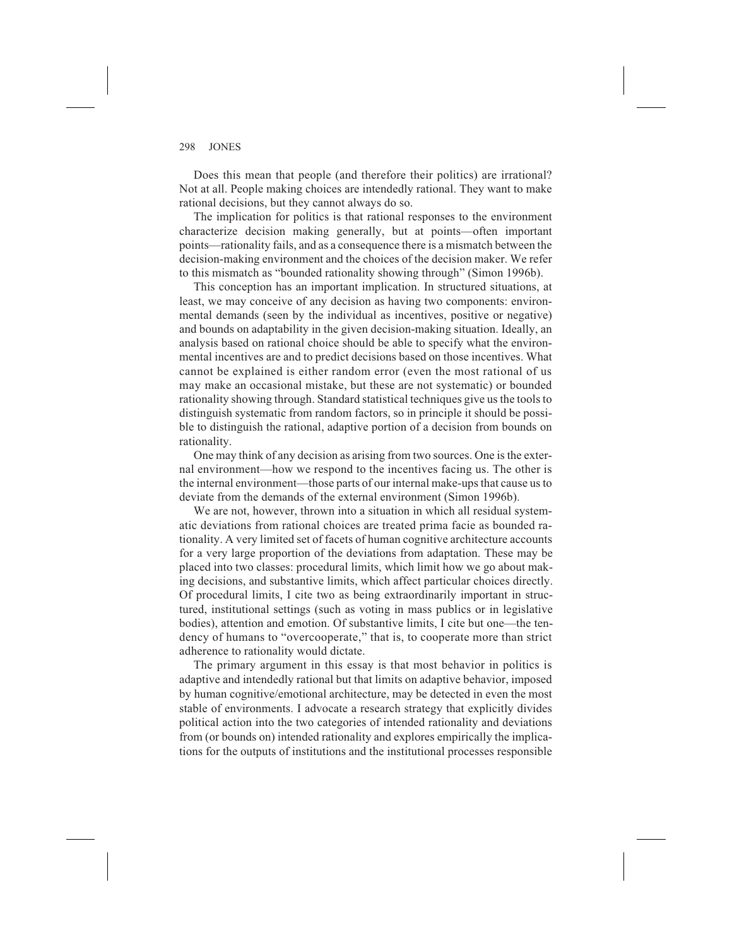Does this mean that people (and therefore their politics) are irrational? Not at all. People making choices are intendedly rational. They want to make rational decisions, but they cannot always do so.

The implication for politics is that rational responses to the environment characterize decision making generally, but at points—often important points—rationality fails, and as a consequence there is a mismatch between the decision-making environment and the choices of the decision maker. We refer to this mismatch as "bounded rationality showing through" (Simon 1996b).

This conception has an important implication. In structured situations, at least, we may conceive of any decision as having two components: environmental demands (seen by the individual as incentives, positive or negative) and bounds on adaptability in the given decision-making situation. Ideally, an analysis based on rational choice should be able to specify what the environmental incentives are and to predict decisions based on those incentives. What cannot be explained is either random error (even the most rational of us may make an occasional mistake, but these are not systematic) or bounded rationality showing through. Standard statistical techniques give us the tools to distinguish systematic from random factors, so in principle it should be possible to distinguish the rational, adaptive portion of a decision from bounds on rationality.

One may think of any decision as arising from two sources. One is the external environment—how we respond to the incentives facing us. The other is the internal environment—those parts of our internal make-ups that cause us to deviate from the demands of the external environment (Simon 1996b).

We are not, however, thrown into a situation in which all residual systematic deviations from rational choices are treated prima facie as bounded rationality. A very limited set of facets of human cognitive architecture accounts for a very large proportion of the deviations from adaptation. These may be placed into two classes: procedural limits, which limit how we go about making decisions, and substantive limits, which affect particular choices directly. Of procedural limits, I cite two as being extraordinarily important in structured, institutional settings (such as voting in mass publics or in legislative bodies), attention and emotion. Of substantive limits, I cite but one—the tendency of humans to "overcooperate," that is, to cooperate more than strict adherence to rationality would dictate.

The primary argument in this essay is that most behavior in politics is adaptive and intendedly rational but that limits on adaptive behavior, imposed by human cognitive/emotional architecture, may be detected in even the most stable of environments. I advocate a research strategy that explicitly divides political action into the two categories of intended rationality and deviations from (or bounds on) intended rationality and explores empirically the implications for the outputs of institutions and the institutional processes responsible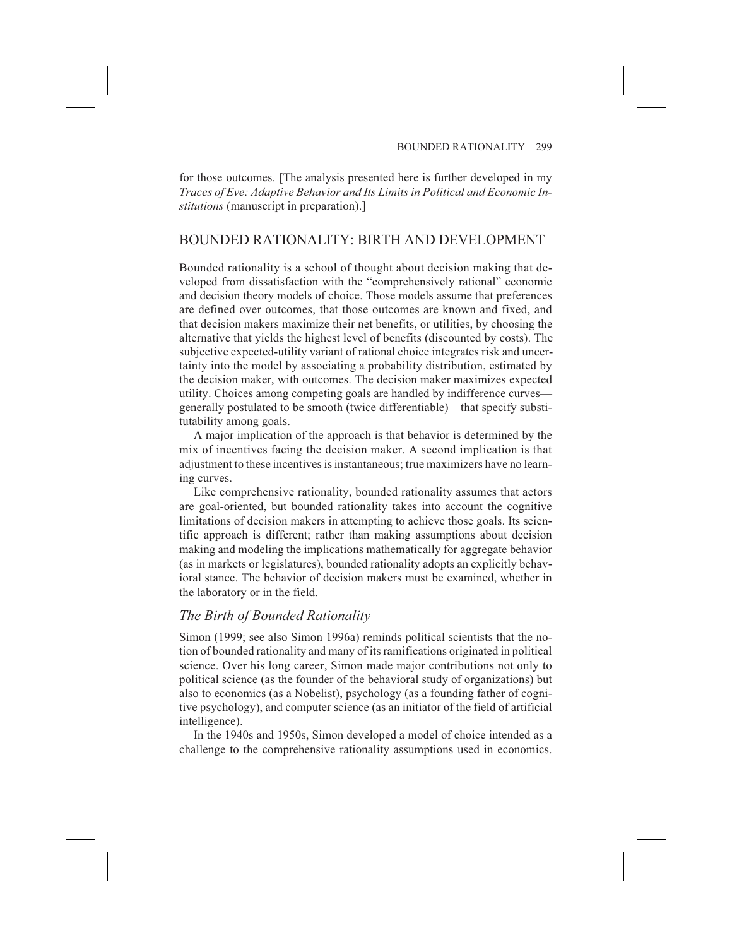for those outcomes. [The analysis presented here is further developed in my *Traces of Eve: Adaptive Behavior and Its Limits in Political and Economic Institutions* (manuscript in preparation).]

## BOUNDED RATIONALITY: BIRTH AND DEVELOPMENT

Bounded rationality is a school of thought about decision making that developed from dissatisfaction with the "comprehensively rational" economic and decision theory models of choice. Those models assume that preferences are defined over outcomes, that those outcomes are known and fixed, and that decision makers maximize their net benefits, or utilities, by choosing the alternative that yields the highest level of benefits (discounted by costs). The subjective expected-utility variant of rational choice integrates risk and uncertainty into the model by associating a probability distribution, estimated by the decision maker, with outcomes. The decision maker maximizes expected utility. Choices among competing goals are handled by indifference curves generally postulated to be smooth (twice differentiable)—that specify substitutability among goals.

A major implication of the approach is that behavior is determined by the mix of incentives facing the decision maker. A second implication is that adjustment to these incentives is instantaneous; true maximizers have no learning curves.

Like comprehensive rationality, bounded rationality assumes that actors are goal-oriented, but bounded rationality takes into account the cognitive limitations of decision makers in attempting to achieve those goals. Its scientific approach is different; rather than making assumptions about decision making and modeling the implications mathematically for aggregate behavior (as in markets or legislatures), bounded rationality adopts an explicitly behavioral stance. The behavior of decision makers must be examined, whether in the laboratory or in the field.

## *The Birth of Bounded Rationality*

Simon (1999; see also Simon 1996a) reminds political scientists that the notion of bounded rationality and many of its ramifications originated in political science. Over his long career, Simon made major contributions not only to political science (as the founder of the behavioral study of organizations) but also to economics (as a Nobelist), psychology (as a founding father of cognitive psychology), and computer science (as an initiator of the field of artificial intelligence).

In the 1940s and 1950s, Simon developed a model of choice intended as a challenge to the comprehensive rationality assumptions used in economics.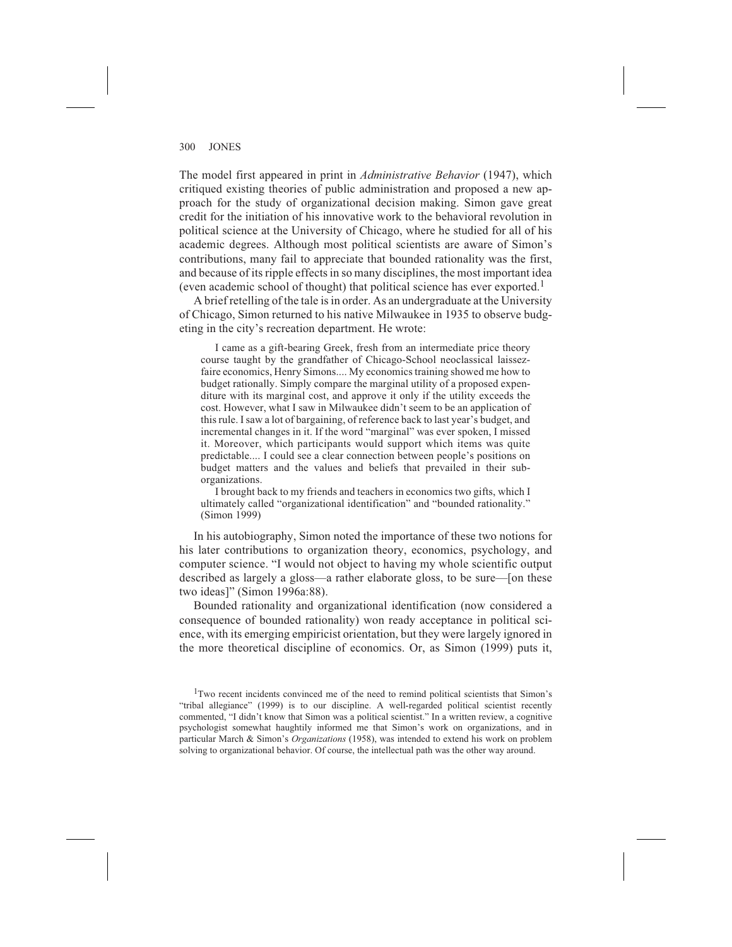The model first appeared in print in *Administrative Behavior* (1947), which critiqued existing theories of public administration and proposed a new approach for the study of organizational decision making. Simon gave great credit for the initiation of his innovative work to the behavioral revolution in political science at the University of Chicago, where he studied for all of his academic degrees. Although most political scientists are aware of Simon's contributions, many fail to appreciate that bounded rationality was the first, and because of its ripple effects in so many disciplines, the most important idea (even academic school of thought) that political science has ever exported.<sup>1</sup>

A brief retelling of the tale is in order. As an undergraduate at the University of Chicago, Simon returned to his native Milwaukee in 1935 to observe budgeting in the city's recreation department. He wrote:

I came as a gift-bearing Greek, fresh from an intermediate price theory course taught by the grandfather of Chicago-School neoclassical laissezfaire economics, Henry Simons.... My economics training showed me how to budget rationally. Simply compare the marginal utility of a proposed expenditure with its marginal cost, and approve it only if the utility exceeds the cost. However, what I saw in Milwaukee didn't seem to be an application of this rule. I saw a lot of bargaining, of reference back to last year's budget, and incremental changes in it. If the word "marginal" was ever spoken, I missed it. Moreover, which participants would support which items was quite predictable.... I could see a clear connection between people's positions on budget matters and the values and beliefs that prevailed in their suborganizations.

I brought back to my friends and teachers in economics two gifts, which I ultimately called "organizational identification" and "bounded rationality." (Simon 1999)

In his autobiography, Simon noted the importance of these two notions for his later contributions to organization theory, economics, psychology, and computer science. "I would not object to having my whole scientific output described as largely a gloss—a rather elaborate gloss, to be sure—[on these two ideas]" (Simon 1996a:88).

Bounded rationality and organizational identification (now considered a consequence of bounded rationality) won ready acceptance in political science, with its emerging empiricist orientation, but they were largely ignored in the more theoretical discipline of economics. Or, as Simon (1999) puts it,

<sup>&</sup>lt;sup>1</sup>Two recent incidents convinced me of the need to remind political scientists that Simon's "tribal allegiance" (1999) is to our discipline. A well-regarded political scientist recently commented, "I didn't know that Simon was a political scientist." In a written review, a cognitive psychologist somewhat haughtily informed me that Simon's work on organizations, and in particular March & Simon's *Organizations* (1958), was intended to extend his work on problem solving to organizational behavior. Of course, the intellectual path was the other way around.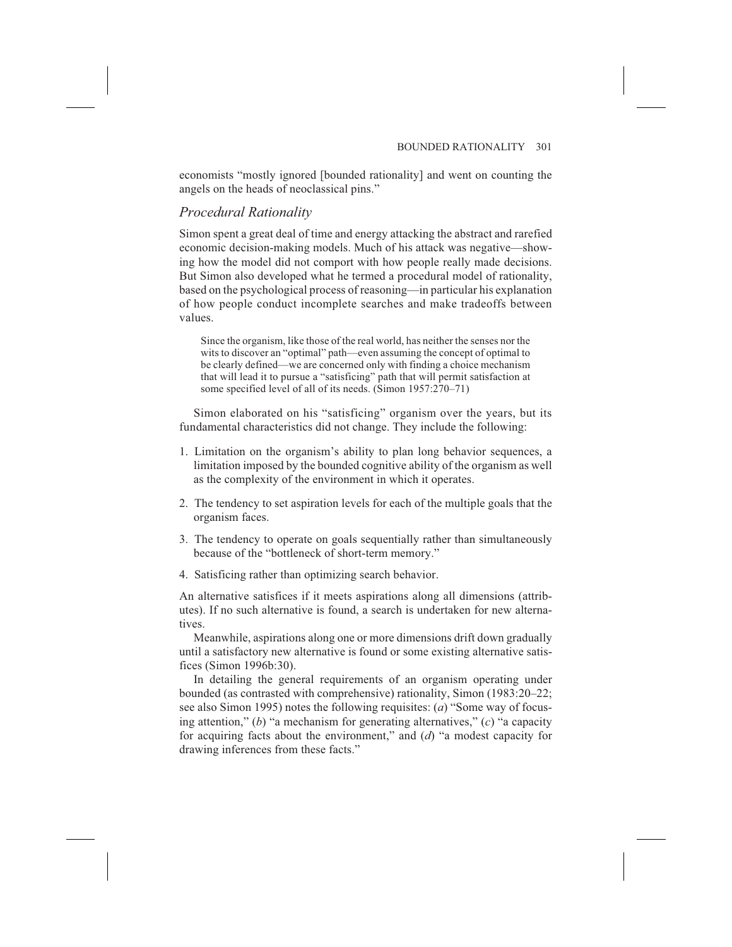economists "mostly ignored [bounded rationality] and went on counting the angels on the heads of neoclassical pins."

# *Procedural Rationality*

Simon spent a great deal of time and energy attacking the abstract and rarefied economic decision-making models. Much of his attack was negative—showing how the model did not comport with how people really made decisions. But Simon also developed what he termed a procedural model of rationality, based on the psychological process of reasoning—in particular his explanation of how people conduct incomplete searches and make tradeoffs between values.

Since the organism, like those of the real world, has neither the senses nor the wits to discover an "optimal" path—even assuming the concept of optimal to be clearly defined—we are concerned only with finding a choice mechanism that will lead it to pursue a "satisficing" path that will permit satisfaction at some specified level of all of its needs. (Simon 1957:270–71)

Simon elaborated on his "satisficing" organism over the years, but its fundamental characteristics did not change. They include the following:

- 1. Limitation on the organism's ability to plan long behavior sequences, a limitation imposed by the bounded cognitive ability of the organism as well as the complexity of the environment in which it operates.
- 2. The tendency to set aspiration levels for each of the multiple goals that the organism faces.
- 3. The tendency to operate on goals sequentially rather than simultaneously because of the "bottleneck of short-term memory."
- 4. Satisficing rather than optimizing search behavior.

An alternative satisfices if it meets aspirations along all dimensions (attributes). If no such alternative is found, a search is undertaken for new alternatives.

Meanwhile, aspirations along one or more dimensions drift down gradually until a satisfactory new alternative is found or some existing alternative satisfices (Simon 1996b:30).

In detailing the general requirements of an organism operating under bounded (as contrasted with comprehensive) rationality, Simon (1983:20–22; see also Simon 1995) notes the following requisites: (*a*) "Some way of focusing attention," (*b*) "a mechanism for generating alternatives," (*c*) "a capacity for acquiring facts about the environment," and (*d*) "a modest capacity for drawing inferences from these facts."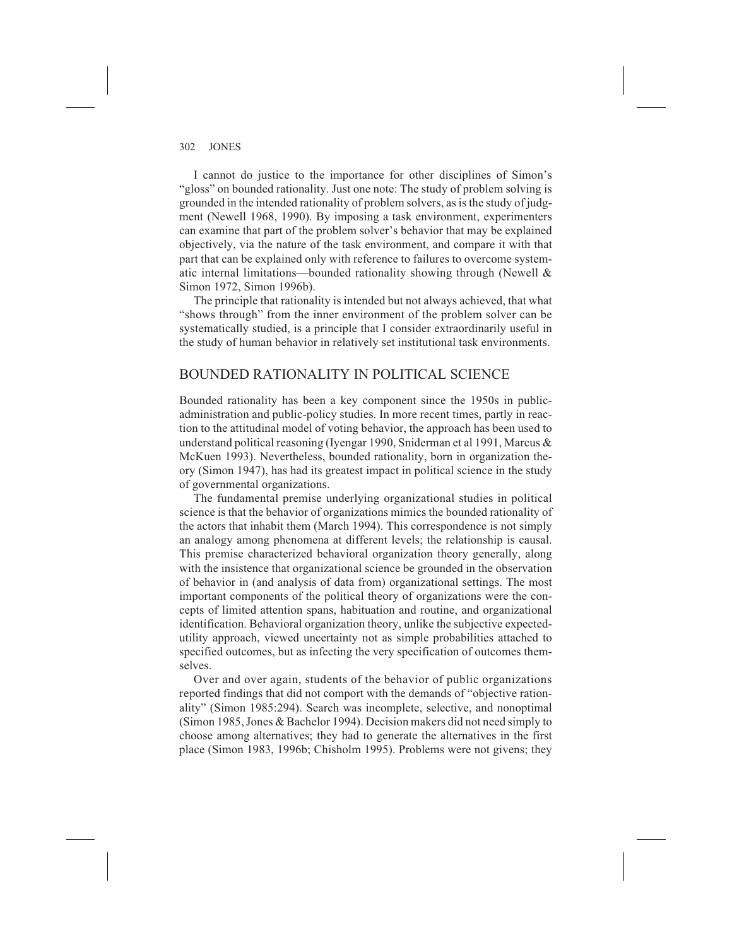I cannot do justice to the importance for other disciplines of Simon's "gloss" on bounded rationality. Just one note: The study of problem solving is grounded in the intended rationality of problem solvers, as is the study of judgment (Newell 1968, 1990). By imposing a task environment, experimenters can examine that part of the problem solver's behavior that may be explained objectively, via the nature of the task environment, and compare it with that part that can be explained only with reference to failures to overcome systematic internal limitations—bounded rationality showing through (Newell & Simon 1972, Simon 1996b).

The principle that rationality is intended but not always achieved, that what "shows through" from the inner environment of the problem solver can be systematically studied, is a principle that I consider extraordinarily useful in the study of human behavior in relatively set institutional task environments.

# BOUNDED RATIONALITY IN POLITICAL SCIENCE

Bounded rationality has been a key component since the 1950s in publicadministration and public-policy studies. In more recent times, partly in reaction to the attitudinal model of voting behavior, the approach has been used to understand political reasoning (Iyengar 1990, Sniderman et al 1991, Marcus & McKuen 1993). Nevertheless, bounded rationality, born in organization theory (Simon 1947), has had its greatest impact in political science in the study of governmental organizations.

The fundamental premise underlying organizational studies in political science is that the behavior of organizations mimics the bounded rationality of the actors that inhabit them (March 1994). This correspondence is not simply an analogy among phenomena at different levels; the relationship is causal. This premise characterized behavioral organization theory generally, along with the insistence that organizational science be grounded in the observation of behavior in (and analysis of data from) organizational settings. The most important components of the political theory of organizations were the concepts of limited attention spans, habituation and routine, and organizational identification. Behavioral organization theory, unlike the subjective expectedutility approach, viewed uncertainty not as simple probabilities attached to specified outcomes, but as infecting the very specification of outcomes themselves.

Over and over again, students of the behavior of public organizations reported findings that did not comport with the demands of "objective rationality" (Simon 1985:294). Search was incomplete, selective, and nonoptimal (Simon 1985, Jones & Bachelor 1994). Decision makers did not need simply to choose among alternatives; they had to generate the alternatives in the first place (Simon 1983, 1996b; Chisholm 1995). Problems were not givens; they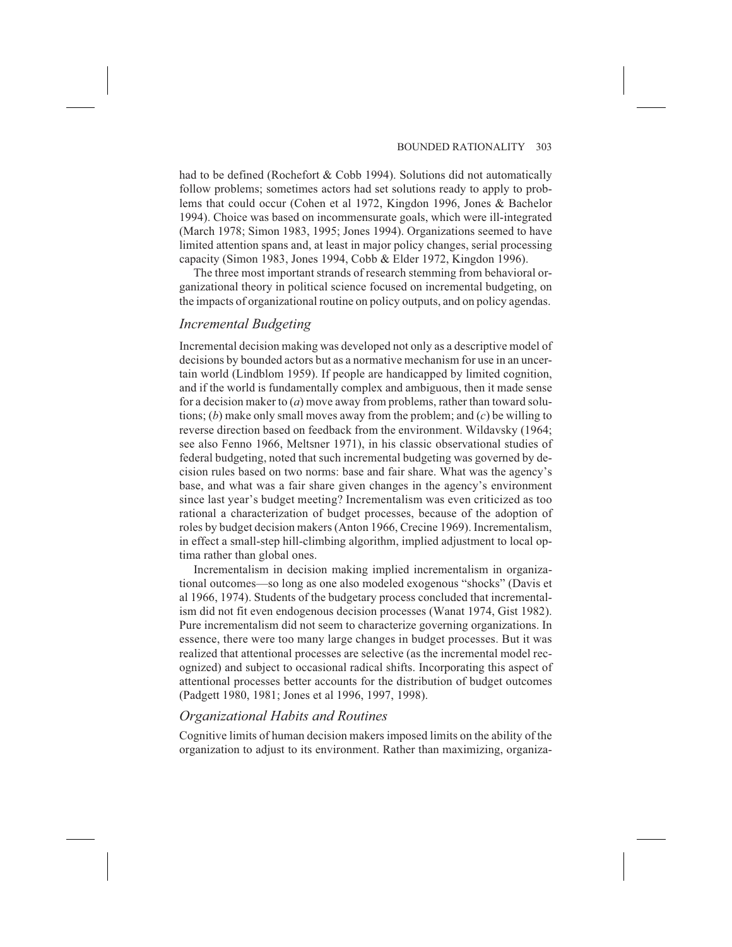had to be defined (Rochefort & Cobb 1994). Solutions did not automatically follow problems; sometimes actors had set solutions ready to apply to problems that could occur (Cohen et al 1972, Kingdon 1996, Jones & Bachelor 1994). Choice was based on incommensurate goals, which were ill-integrated (March 1978; Simon 1983, 1995; Jones 1994). Organizations seemed to have limited attention spans and, at least in major policy changes, serial processing capacity (Simon 1983, Jones 1994, Cobb & Elder 1972, Kingdon 1996).

The three most important strands of research stemming from behavioral organizational theory in political science focused on incremental budgeting, on the impacts of organizational routine on policy outputs, and on policy agendas.

## *Incremental Budgeting*

Incremental decision making was developed not only as a descriptive model of decisions by bounded actors but as a normative mechanism for use in an uncertain world (Lindblom 1959). If people are handicapped by limited cognition, and if the world is fundamentally complex and ambiguous, then it made sense for a decision maker to (*a*) move away from problems, rather than toward solutions; (*b*) make only small moves away from the problem; and (*c*) be willing to reverse direction based on feedback from the environment. Wildavsky (1964; see also Fenno 1966, Meltsner 1971), in his classic observational studies of federal budgeting, noted that such incremental budgeting was governed by decision rules based on two norms: base and fair share. What was the agency's base, and what was a fair share given changes in the agency's environment since last year's budget meeting? Incrementalism was even criticized as too rational a characterization of budget processes, because of the adoption of roles by budget decision makers (Anton 1966, Crecine 1969). Incrementalism, in effect a small-step hill-climbing algorithm, implied adjustment to local optima rather than global ones.

Incrementalism in decision making implied incrementalism in organizational outcomes—so long as one also modeled exogenous "shocks" (Davis et al 1966, 1974). Students of the budgetary process concluded that incrementalism did not fit even endogenous decision processes (Wanat 1974, Gist 1982). Pure incrementalism did not seem to characterize governing organizations. In essence, there were too many large changes in budget processes. But it was realized that attentional processes are selective (as the incremental model recognized) and subject to occasional radical shifts. Incorporating this aspect of attentional processes better accounts for the distribution of budget outcomes (Padgett 1980, 1981; Jones et al 1996, 1997, 1998).

## *Organizational Habits and Routines*

Cognitive limits of human decision makers imposed limits on the ability of the organization to adjust to its environment. Rather than maximizing, organiza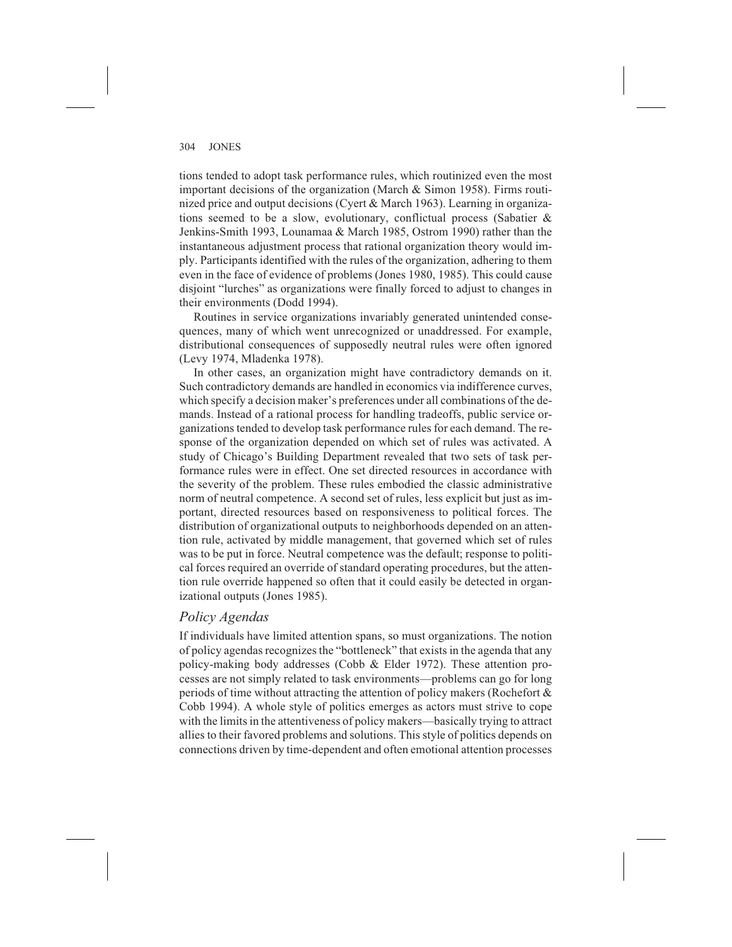tions tended to adopt task performance rules, which routinized even the most important decisions of the organization (March & Simon 1958). Firms routinized price and output decisions (Cyert & March 1963). Learning in organizations seemed to be a slow, evolutionary, conflictual process (Sabatier & Jenkins-Smith 1993, Lounamaa & March 1985, Ostrom 1990) rather than the instantaneous adjustment process that rational organization theory would imply. Participants identified with the rules of the organization, adhering to them even in the face of evidence of problems (Jones 1980, 1985). This could cause disjoint "lurches" as organizations were finally forced to adjust to changes in their environments (Dodd 1994).

Routines in service organizations invariably generated unintended consequences, many of which went unrecognized or unaddressed. For example, distributional consequences of supposedly neutral rules were often ignored (Levy 1974, Mladenka 1978).

In other cases, an organization might have contradictory demands on it. Such contradictory demands are handled in economics via indifference curves, which specify a decision maker's preferences under all combinations of the demands. Instead of a rational process for handling tradeoffs, public service organizations tended to develop task performance rules for each demand. The response of the organization depended on which set of rules was activated. A study of Chicago's Building Department revealed that two sets of task performance rules were in effect. One set directed resources in accordance with the severity of the problem. These rules embodied the classic administrative norm of neutral competence. A second set of rules, less explicit but just as important, directed resources based on responsiveness to political forces. The distribution of organizational outputs to neighborhoods depended on an attention rule, activated by middle management, that governed which set of rules was to be put in force. Neutral competence was the default; response to political forces required an override of standard operating procedures, but the attention rule override happened so often that it could easily be detected in organizational outputs (Jones 1985).

# *Policy Agendas*

If individuals have limited attention spans, so must organizations. The notion of policy agendas recognizes the "bottleneck" that exists in the agenda that any policy-making body addresses (Cobb & Elder 1972). These attention processes are not simply related to task environments—problems can go for long periods of time without attracting the attention of policy makers (Rochefort & Cobb 1994). A whole style of politics emerges as actors must strive to cope with the limits in the attentiveness of policy makers—basically trying to attract allies to their favored problems and solutions. This style of politics depends on connections driven by time-dependent and often emotional attention processes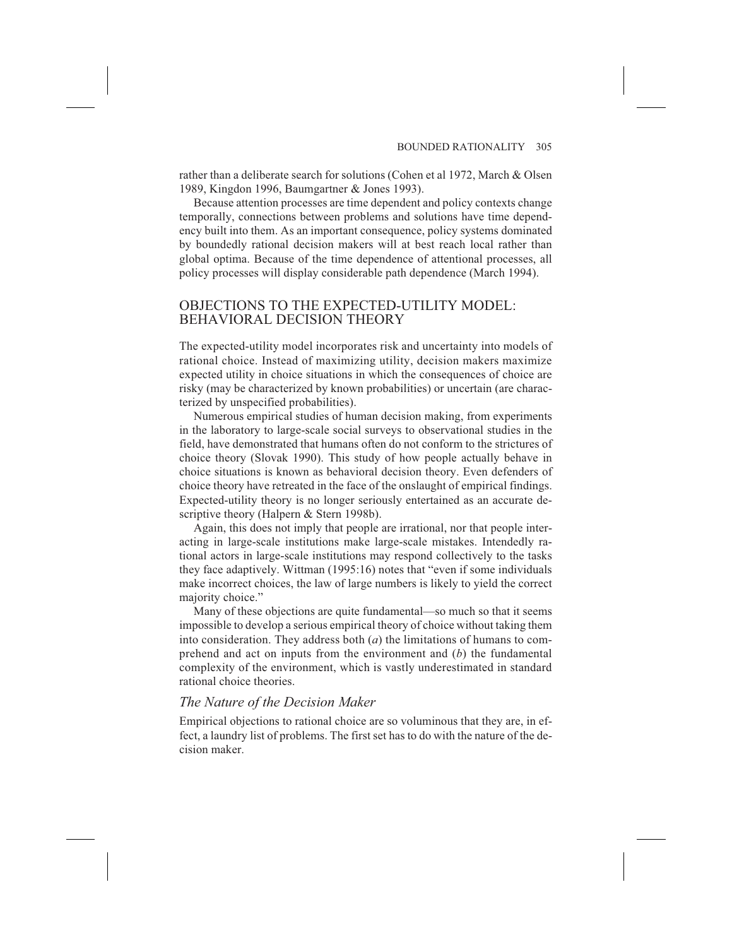rather than a deliberate search for solutions (Cohen et al 1972, March & Olsen 1989, Kingdon 1996, Baumgartner & Jones 1993).

Because attention processes are time dependent and policy contexts change temporally, connections between problems and solutions have time dependency built into them. As an important consequence, policy systems dominated by boundedly rational decision makers will at best reach local rather than global optima. Because of the time dependence of attentional processes, all policy processes will display considerable path dependence (March 1994).

# OBJECTIONS TO THE EXPECTED-UTILITY MODEL: BEHAVIORAL DECISION THEORY

The expected-utility model incorporates risk and uncertainty into models of rational choice. Instead of maximizing utility, decision makers maximize expected utility in choice situations in which the consequences of choice are risky (may be characterized by known probabilities) or uncertain (are characterized by unspecified probabilities).

Numerous empirical studies of human decision making, from experiments in the laboratory to large-scale social surveys to observational studies in the field, have demonstrated that humans often do not conform to the strictures of choice theory (Slovak 1990). This study of how people actually behave in choice situations is known as behavioral decision theory. Even defenders of choice theory have retreated in the face of the onslaught of empirical findings. Expected-utility theory is no longer seriously entertained as an accurate descriptive theory (Halpern & Stern 1998b).

Again, this does not imply that people are irrational, nor that people interacting in large-scale institutions make large-scale mistakes. Intendedly rational actors in large-scale institutions may respond collectively to the tasks they face adaptively. Wittman (1995:16) notes that "even if some individuals make incorrect choices, the law of large numbers is likely to yield the correct majority choice."

Many of these objections are quite fundamental—so much so that it seems impossible to develop a serious empirical theory of choice without taking them into consideration. They address both (*a*) the limitations of humans to comprehend and act on inputs from the environment and (*b*) the fundamental complexity of the environment, which is vastly underestimated in standard rational choice theories.

#### *The Nature of the Decision Maker*

Empirical objections to rational choice are so voluminous that they are, in effect, a laundry list of problems. The first set has to do with the nature of the decision maker.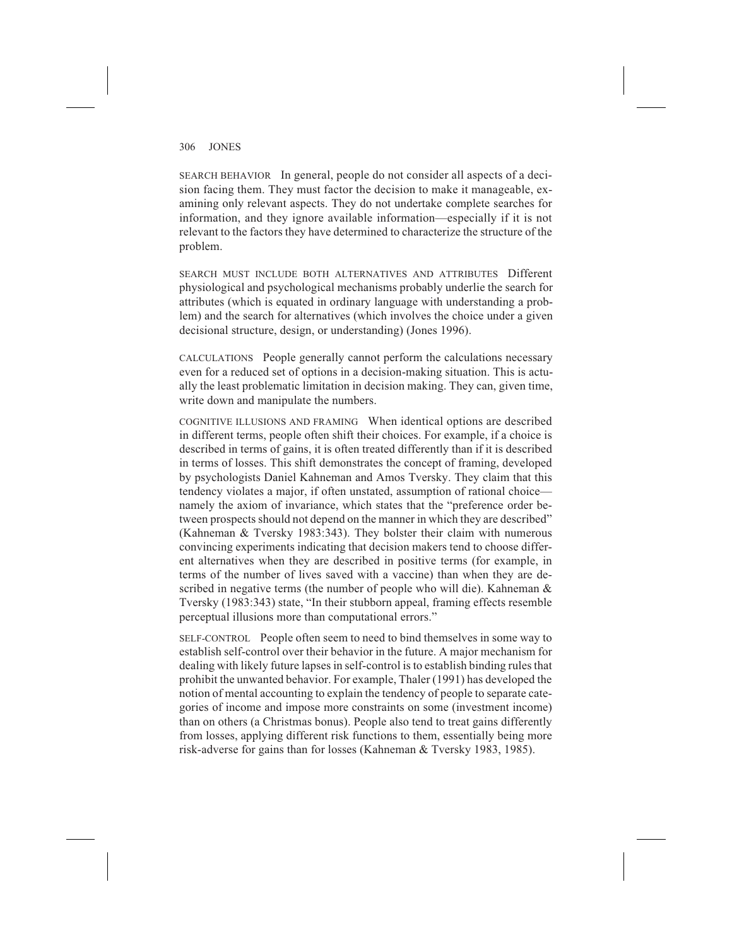SEARCH BEHAVIOR In general, people do not consider all aspects of a decision facing them. They must factor the decision to make it manageable, examining only relevant aspects. They do not undertake complete searches for information, and they ignore available information—especially if it is not relevant to the factors they have determined to characterize the structure of the problem.

SEARCH MUST INCLUDE BOTH ALTERNATIVES AND ATTRIBUTES Different physiological and psychological mechanisms probably underlie the search for attributes (which is equated in ordinary language with understanding a problem) and the search for alternatives (which involves the choice under a given decisional structure, design, or understanding) (Jones 1996).

CALCULATIONS People generally cannot perform the calculations necessary even for a reduced set of options in a decision-making situation. This is actually the least problematic limitation in decision making. They can, given time, write down and manipulate the numbers.

COGNITIVE ILLUSIONS AND FRAMING When identical options are described in different terms, people often shift their choices. For example, if a choice is described in terms of gains, it is often treated differently than if it is described in terms of losses. This shift demonstrates the concept of framing, developed by psychologists Daniel Kahneman and Amos Tversky. They claim that this tendency violates a major, if often unstated, assumption of rational choice namely the axiom of invariance, which states that the "preference order between prospects should not depend on the manner in which they are described" (Kahneman & Tversky 1983:343). They bolster their claim with numerous convincing experiments indicating that decision makers tend to choose different alternatives when they are described in positive terms (for example, in terms of the number of lives saved with a vaccine) than when they are described in negative terms (the number of people who will die). Kahneman & Tversky (1983:343) state, "In their stubborn appeal, framing effects resemble perceptual illusions more than computational errors."

SELF-CONTROL People often seem to need to bind themselves in some way to establish self-control over their behavior in the future. A major mechanism for dealing with likely future lapses in self-control is to establish binding rules that prohibit the unwanted behavior. For example, Thaler (1991) has developed the notion of mental accounting to explain the tendency of people to separate categories of income and impose more constraints on some (investment income) than on others (a Christmas bonus). People also tend to treat gains differently from losses, applying different risk functions to them, essentially being more risk-adverse for gains than for losses (Kahneman & Tversky 1983, 1985).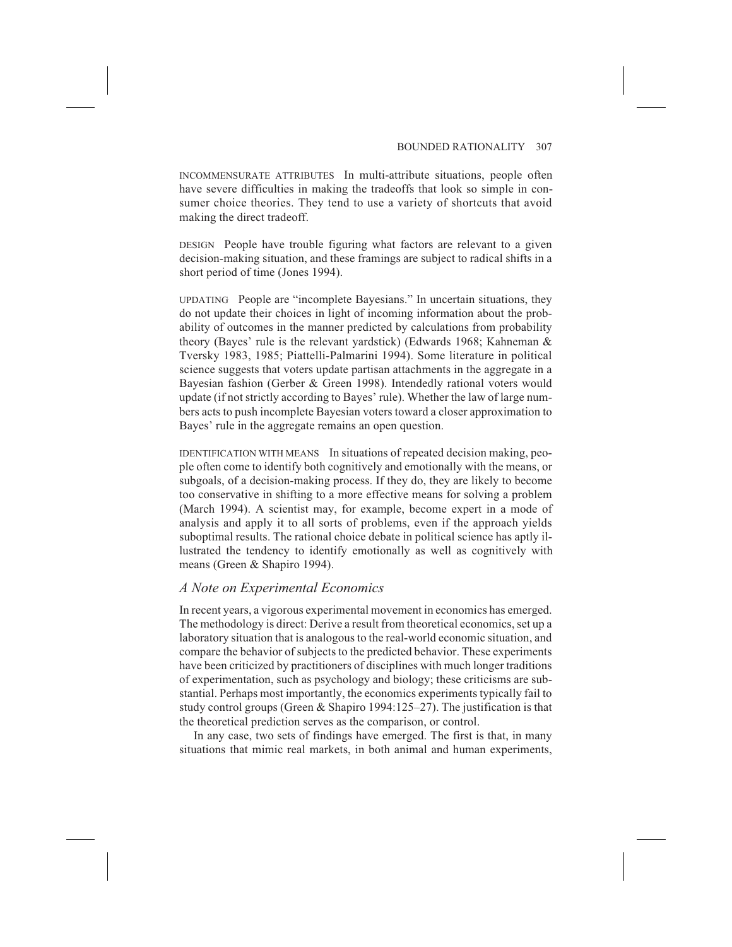INCOMMENSURATE ATTRIBUTES In multi-attribute situations, people often have severe difficulties in making the tradeoffs that look so simple in consumer choice theories. They tend to use a variety of shortcuts that avoid making the direct tradeoff.

DESIGN People have trouble figuring what factors are relevant to a given decision-making situation, and these framings are subject to radical shifts in a short period of time (Jones 1994).

UPDATING People are "incomplete Bayesians." In uncertain situations, they do not update their choices in light of incoming information about the probability of outcomes in the manner predicted by calculations from probability theory (Bayes' rule is the relevant yardstick) (Edwards 1968; Kahneman & Tversky 1983, 1985; Piattelli-Palmarini 1994). Some literature in political science suggests that voters update partisan attachments in the aggregate in a Bayesian fashion (Gerber & Green 1998). Intendedly rational voters would update (if not strictly according to Bayes' rule). Whether the law of large numbers acts to push incomplete Bayesian voters toward a closer approximation to Bayes' rule in the aggregate remains an open question.

IDENTIFICATION WITH MEANS In situations of repeated decision making, people often come to identify both cognitively and emotionally with the means, or subgoals, of a decision-making process. If they do, they are likely to become too conservative in shifting to a more effective means for solving a problem (March 1994). A scientist may, for example, become expert in a mode of analysis and apply it to all sorts of problems, even if the approach yields suboptimal results. The rational choice debate in political science has aptly illustrated the tendency to identify emotionally as well as cognitively with means (Green & Shapiro 1994).

# *A Note on Experimental Economics*

In recent years, a vigorous experimental movement in economics has emerged. The methodology is direct: Derive a result from theoretical economics, set up a laboratory situation that is analogous to the real-world economic situation, and compare the behavior of subjects to the predicted behavior. These experiments have been criticized by practitioners of disciplines with much longer traditions of experimentation, such as psychology and biology; these criticisms are substantial. Perhaps most importantly, the economics experiments typically fail to study control groups (Green & Shapiro 1994:125–27). The justification is that the theoretical prediction serves as the comparison, or control.

In any case, two sets of findings have emerged. The first is that, in many situations that mimic real markets, in both animal and human experiments,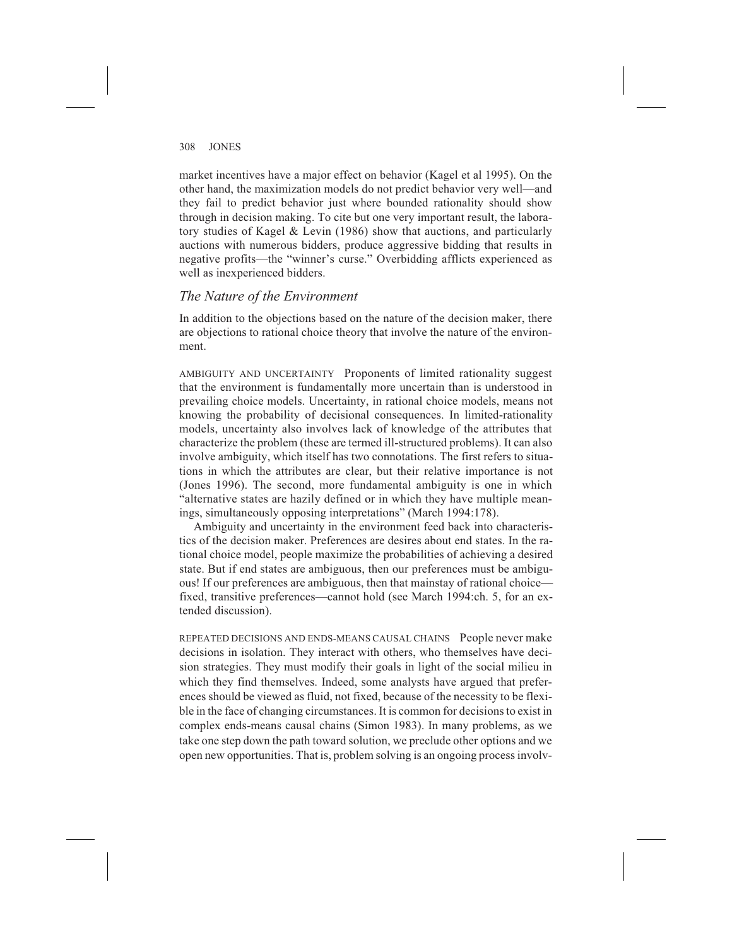market incentives have a major effect on behavior (Kagel et al 1995). On the other hand, the maximization models do not predict behavior very well—and they fail to predict behavior just where bounded rationality should show through in decision making. To cite but one very important result, the laboratory studies of Kagel & Levin (1986) show that auctions, and particularly auctions with numerous bidders, produce aggressive bidding that results in negative profits—the "winner's curse." Overbidding afflicts experienced as well as inexperienced bidders.

# *The Nature of the Environment*

In addition to the objections based on the nature of the decision maker, there are objections to rational choice theory that involve the nature of the environment.

AMBIGUITY AND UNCERTAINTY Proponents of limited rationality suggest that the environment is fundamentally more uncertain than is understood in prevailing choice models. Uncertainty, in rational choice models, means not knowing the probability of decisional consequences. In limited-rationality models, uncertainty also involves lack of knowledge of the attributes that characterize the problem (these are termed ill-structured problems). It can also involve ambiguity, which itself has two connotations. The first refers to situations in which the attributes are clear, but their relative importance is not (Jones 1996). The second, more fundamental ambiguity is one in which "alternative states are hazily defined or in which they have multiple meanings, simultaneously opposing interpretations" (March 1994:178).

Ambiguity and uncertainty in the environment feed back into characteristics of the decision maker. Preferences are desires about end states. In the rational choice model, people maximize the probabilities of achieving a desired state. But if end states are ambiguous, then our preferences must be ambiguous! If our preferences are ambiguous, then that mainstay of rational choice fixed, transitive preferences—cannot hold (see March 1994:ch. 5, for an extended discussion).

REPEATED DECISIONS AND ENDS-MEANS CAUSAL CHAINS People never make decisions in isolation. They interact with others, who themselves have decision strategies. They must modify their goals in light of the social milieu in which they find themselves. Indeed, some analysts have argued that preferences should be viewed as fluid, not fixed, because of the necessity to be flexible in the face of changing circumstances. It is common for decisions to exist in complex ends-means causal chains (Simon 1983). In many problems, as we take one step down the path toward solution, we preclude other options and we open new opportunities. That is, problem solving is an ongoing process involv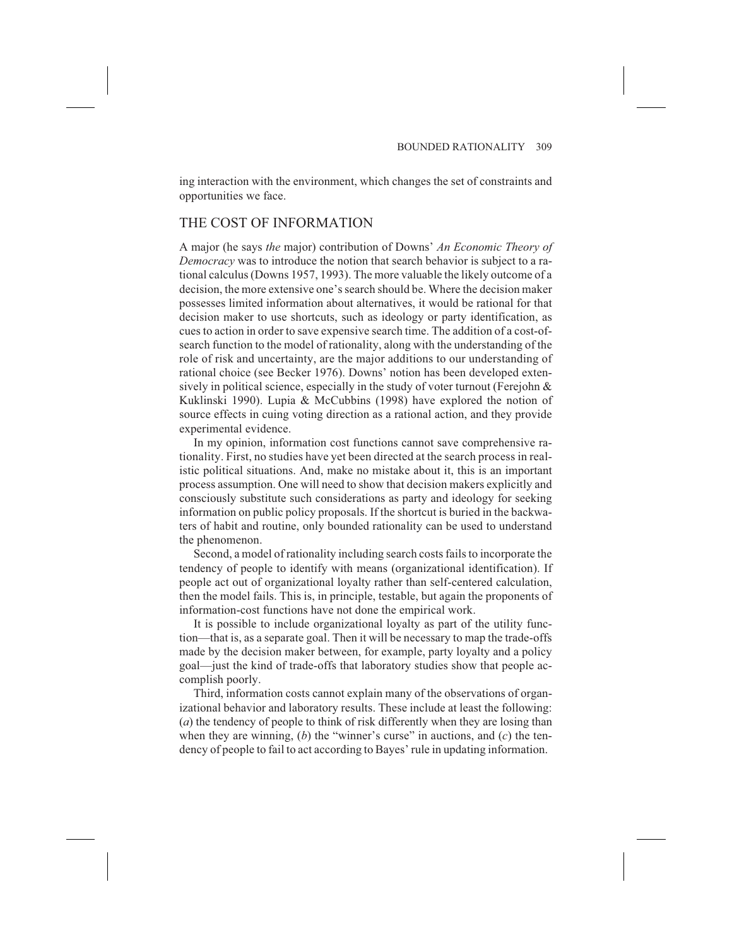ing interaction with the environment, which changes the set of constraints and opportunities we face.

# THE COST OF INFORMATION

A major (he says *the* major) contribution of Downs' *An Economic Theory of Democracy* was to introduce the notion that search behavior is subject to a rational calculus (Downs 1957, 1993). The more valuable the likely outcome of a decision, the more extensive one's search should be. Where the decision maker possesses limited information about alternatives, it would be rational for that decision maker to use shortcuts, such as ideology or party identification, as cues to action in order to save expensive search time. The addition of a cost-ofsearch function to the model of rationality, along with the understanding of the role of risk and uncertainty, are the major additions to our understanding of rational choice (see Becker 1976). Downs' notion has been developed extensively in political science, especially in the study of voter turnout (Ferejohn  $\&$ Kuklinski 1990). Lupia & McCubbins (1998) have explored the notion of source effects in cuing voting direction as a rational action, and they provide experimental evidence.

In my opinion, information cost functions cannot save comprehensive rationality. First, no studies have yet been directed at the search process in realistic political situations. And, make no mistake about it, this is an important process assumption. One will need to show that decision makers explicitly and consciously substitute such considerations as party and ideology for seeking information on public policy proposals. If the shortcut is buried in the backwaters of habit and routine, only bounded rationality can be used to understand the phenomenon.

Second, a model of rationality including search costs fails to incorporate the tendency of people to identify with means (organizational identification). If people act out of organizational loyalty rather than self-centered calculation, then the model fails. This is, in principle, testable, but again the proponents of information-cost functions have not done the empirical work.

It is possible to include organizational loyalty as part of the utility function—that is, as a separate goal. Then it will be necessary to map the trade-offs made by the decision maker between, for example, party loyalty and a policy goal—just the kind of trade-offs that laboratory studies show that people accomplish poorly.

Third, information costs cannot explain many of the observations of organizational behavior and laboratory results. These include at least the following: (*a*) the tendency of people to think of risk differently when they are losing than when they are winning, (*b*) the "winner's curse" in auctions, and (*c*) the tendency of people to fail to act according to Bayes' rule in updating information.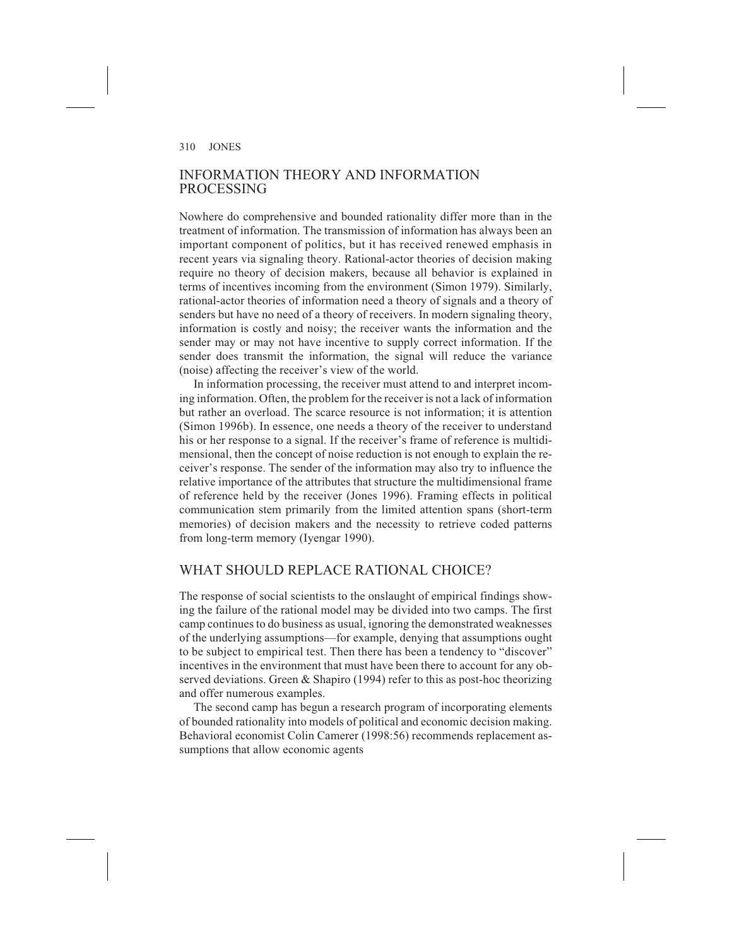# INFORMATION THEORY AND INFORMATION PROCESSING

Nowhere do comprehensive and bounded rationality differ more than in the treatment of information. The transmission of information has always been an important component of politics, but it has received renewed emphasis in recent years via signaling theory. Rational-actor theories of decision making require no theory of decision makers, because all behavior is explained in terms of incentives incoming from the environment (Simon 1979). Similarly, rational-actor theories of information need a theory of signals and a theory of senders but have no need of a theory of receivers. In modern signaling theory, information is costly and noisy; the receiver wants the information and the sender may or may not have incentive to supply correct information. If the sender does transmit the information, the signal will reduce the variance (noise) affecting the receiver's view of the world.

In information processing, the receiver must attend to and interpret incoming information. Often, the problem for the receiver is not a lack of information but rather an overload. The scarce resource is not information; it is attention (Simon 1996b). In essence, one needs a theory of the receiver to understand his or her response to a signal. If the receiver's frame of reference is multidimensional, then the concept of noise reduction is not enough to explain the receiver's response. The sender of the information may also try to influence the relative importance of the attributes that structure the multidimensional frame of reference held by the receiver (Jones 1996). Framing effects in political communication stem primarily from the limited attention spans (short-term memories) of decision makers and the necessity to retrieve coded patterns from long-term memory (Iyengar 1990).

# WHAT SHOULD REPLACE RATIONAL CHOICE?

The response of social scientists to the onslaught of empirical findings showing the failure of the rational model may be divided into two camps. The first camp continues to do business as usual, ignoring the demonstrated weaknesses of the underlying assumptions—for example, denying that assumptions ought to be subject to empirical test. Then there has been a tendency to "discover" incentives in the environment that must have been there to account for any observed deviations. Green & Shapiro (1994) refer to this as post-hoc theorizing and offer numerous examples.

The second camp has begun a research program of incorporating elements of bounded rationality into models of political and economic decision making. Behavioral economist Colin Camerer (1998:56) recommends replacement assumptions that allow economic agents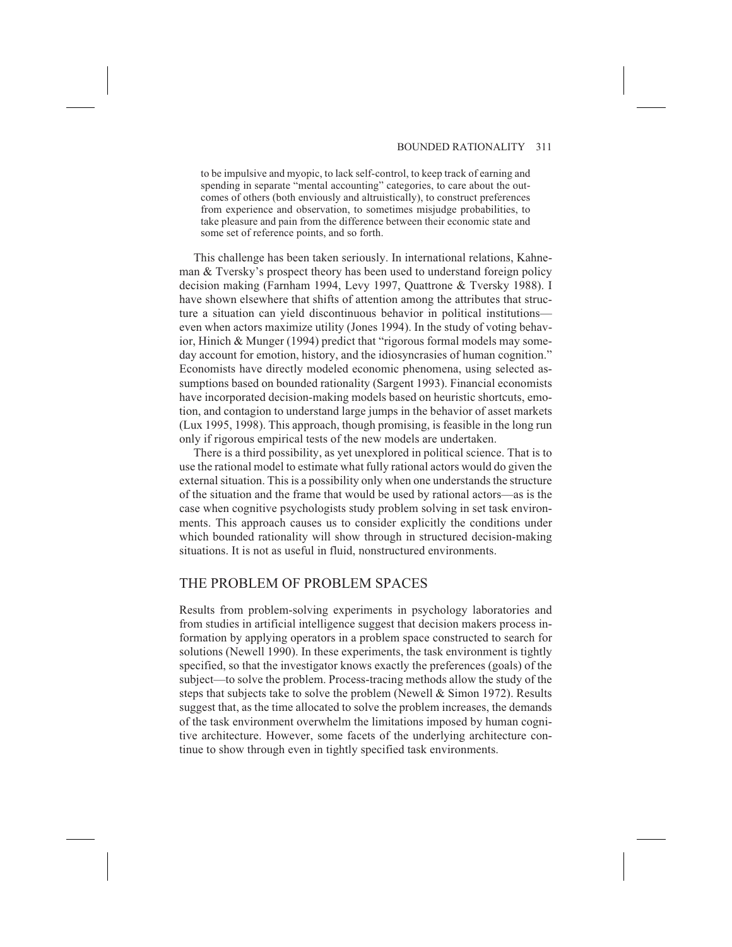to be impulsive and myopic, to lack self-control, to keep track of earning and spending in separate "mental accounting" categories, to care about the outcomes of others (both enviously and altruistically), to construct preferences from experience and observation, to sometimes misjudge probabilities, to take pleasure and pain from the difference between their economic state and some set of reference points, and so forth.

This challenge has been taken seriously. In international relations, Kahneman & Tversky's prospect theory has been used to understand foreign policy decision making (Farnham 1994, Levy 1997, Quattrone & Tversky 1988). I have shown elsewhere that shifts of attention among the attributes that structure a situation can yield discontinuous behavior in political institutions even when actors maximize utility (Jones 1994). In the study of voting behavior, Hinich & Munger (1994) predict that "rigorous formal models may someday account for emotion, history, and the idiosyncrasies of human cognition." Economists have directly modeled economic phenomena, using selected assumptions based on bounded rationality (Sargent 1993). Financial economists have incorporated decision-making models based on heuristic shortcuts, emotion, and contagion to understand large jumps in the behavior of asset markets (Lux 1995, 1998). This approach, though promising, is feasible in the long run only if rigorous empirical tests of the new models are undertaken.

There is a third possibility, as yet unexplored in political science. That is to use the rational model to estimate what fully rational actors would do given the external situation. This is a possibility only when one understands the structure of the situation and the frame that would be used by rational actors—as is the case when cognitive psychologists study problem solving in set task environments. This approach causes us to consider explicitly the conditions under which bounded rationality will show through in structured decision-making situations. It is not as useful in fluid, nonstructured environments.

#### THE PROBLEM OF PROBLEM SPACES

Results from problem-solving experiments in psychology laboratories and from studies in artificial intelligence suggest that decision makers process information by applying operators in a problem space constructed to search for solutions (Newell 1990). In these experiments, the task environment is tightly specified, so that the investigator knows exactly the preferences (goals) of the subject—to solve the problem. Process-tracing methods allow the study of the steps that subjects take to solve the problem (Newell & Simon 1972). Results suggest that, as the time allocated to solve the problem increases, the demands of the task environment overwhelm the limitations imposed by human cognitive architecture. However, some facets of the underlying architecture continue to show through even in tightly specified task environments.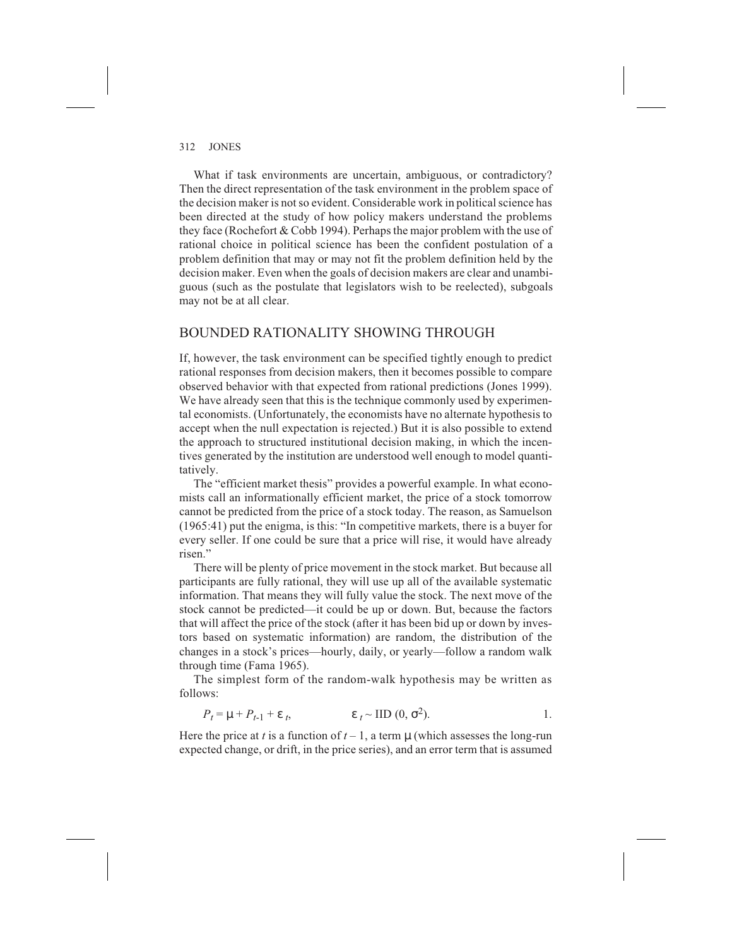What if task environments are uncertain, ambiguous, or contradictory? Then the direct representation of the task environment in the problem space of the decision maker is not so evident. Considerable work in political science has been directed at the study of how policy makers understand the problems they face (Rochefort & Cobb 1994). Perhaps the major problem with the use of rational choice in political science has been the confident postulation of a problem definition that may or may not fit the problem definition held by the decision maker. Even when the goals of decision makers are clear and unambiguous (such as the postulate that legislators wish to be reelected), subgoals may not be at all clear.

# BOUNDED RATIONALITY SHOWING THROUGH

If, however, the task environment can be specified tightly enough to predict rational responses from decision makers, then it becomes possible to compare observed behavior with that expected from rational predictions (Jones 1999). We have already seen that this is the technique commonly used by experimental economists. (Unfortunately, the economists have no alternate hypothesis to accept when the null expectation is rejected.) But it is also possible to extend the approach to structured institutional decision making, in which the incentives generated by the institution are understood well enough to model quantitatively.

The "efficient market thesis" provides a powerful example. In what economists call an informationally efficient market, the price of a stock tomorrow cannot be predicted from the price of a stock today. The reason, as Samuelson (1965:41) put the enigma, is this: "In competitive markets, there is a buyer for every seller. If one could be sure that a price will rise, it would have already risen."

There will be plenty of price movement in the stock market. But because all participants are fully rational, they will use up all of the available systematic information. That means they will fully value the stock. The next move of the stock cannot be predicted—it could be up or down. But, because the factors that will affect the price of the stock (after it has been bid up or down by investors based on systematic information) are random, the distribution of the changes in a stock's prices—hourly, daily, or yearly—follow a random walk through time (Fama 1965).

The simplest form of the random-walk hypothesis may be written as follows:

$$
P_t = \mu + P_{t-1} + \varepsilon_t, \qquad \varepsilon_t \sim \text{IID } (0, \sigma^2). \qquad 1.
$$

Here the price at *t* is a function of  $t - 1$ , a term  $\mu$  (which assesses the long-run expected change, or drift, in the price series), and an error term that is assumed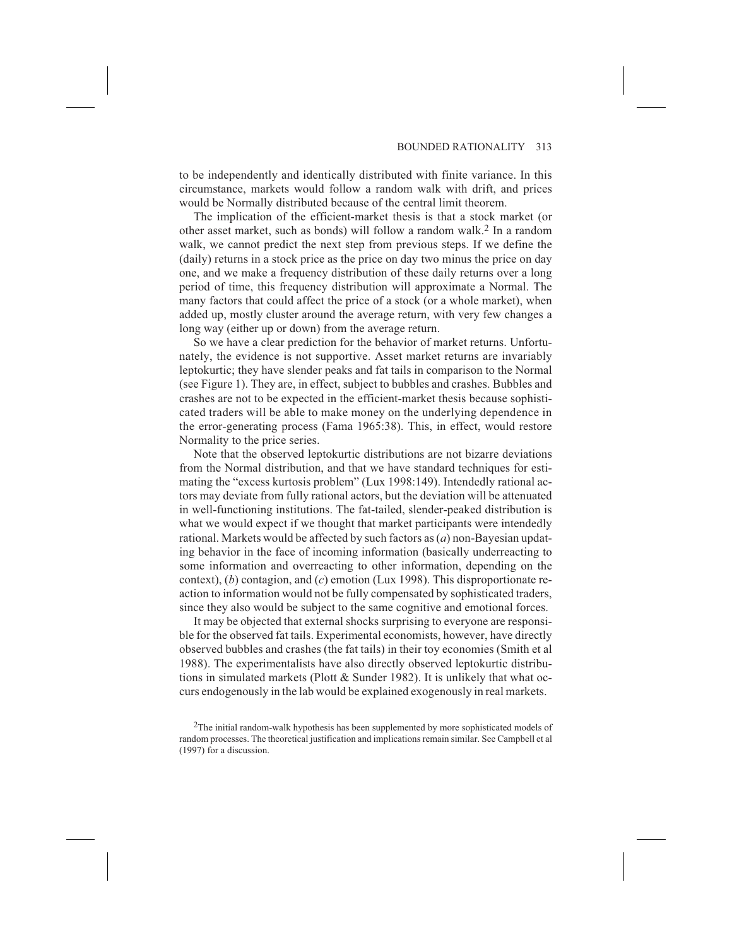to be independently and identically distributed with finite variance. In this circumstance, markets would follow a random walk with drift, and prices would be Normally distributed because of the central limit theorem.

The implication of the efficient-market thesis is that a stock market (or other asset market, such as bonds) will follow a random walk.<sup>2</sup> In a random walk, we cannot predict the next step from previous steps. If we define the (daily) returns in a stock price as the price on day two minus the price on day one, and we make a frequency distribution of these daily returns over a long period of time, this frequency distribution will approximate a Normal. The many factors that could affect the price of a stock (or a whole market), when added up, mostly cluster around the average return, with very few changes a long way (either up or down) from the average return.

So we have a clear prediction for the behavior of market returns. Unfortunately, the evidence is not supportive. Asset market returns are invariably leptokurtic; they have slender peaks and fat tails in comparison to the Normal (see Figure 1). They are, in effect, subject to bubbles and crashes. Bubbles and crashes are not to be expected in the efficient-market thesis because sophisticated traders will be able to make money on the underlying dependence in the error-generating process (Fama 1965:38). This, in effect, would restore Normality to the price series.

Note that the observed leptokurtic distributions are not bizarre deviations from the Normal distribution, and that we have standard techniques for estimating the "excess kurtosis problem" (Lux 1998:149). Intendedly rational actors may deviate from fully rational actors, but the deviation will be attenuated in well-functioning institutions. The fat-tailed, slender-peaked distribution is what we would expect if we thought that market participants were intendedly rational. Markets would be affected by such factors as (*a*) non-Bayesian updating behavior in the face of incoming information (basically underreacting to some information and overreacting to other information, depending on the context), (*b*) contagion, and (*c*) emotion (Lux 1998). This disproportionate reaction to information would not be fully compensated by sophisticated traders, since they also would be subject to the same cognitive and emotional forces.

It may be objected that external shocks surprising to everyone are responsible for the observed fat tails. Experimental economists, however, have directly observed bubbles and crashes (the fat tails) in their toy economies (Smith et al 1988). The experimentalists have also directly observed leptokurtic distributions in simulated markets (Plott & Sunder 1982). It is unlikely that what occurs endogenously in the lab would be explained exogenously in real markets.

 $2$ The initial random-walk hypothesis has been supplemented by more sophisticated models of random processes. The theoretical justification and implications remain similar. See Campbell et al (1997) for a discussion.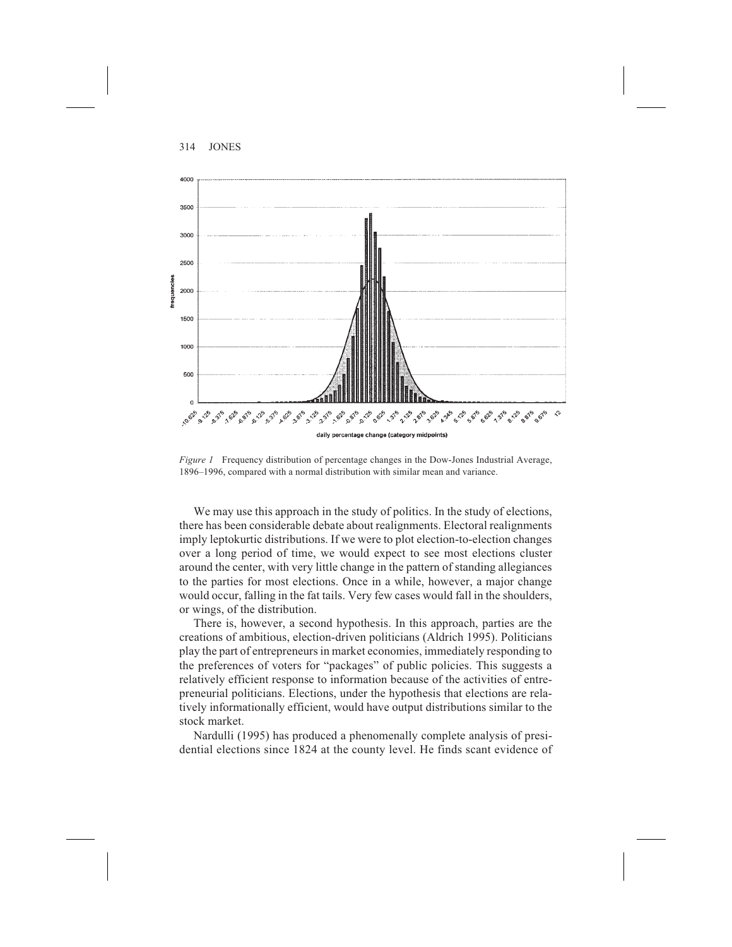

*Figure 1* Frequency distribution of percentage changes in the Dow-Jones Industrial Average, 1896–1996, compared with a normal distribution with similar mean and variance.

We may use this approach in the study of politics. In the study of elections, there has been considerable debate about realignments. Electoral realignments imply leptokurtic distributions. If we were to plot election-to-election changes over a long period of time, we would expect to see most elections cluster around the center, with very little change in the pattern of standing allegiances to the parties for most elections. Once in a while, however, a major change would occur, falling in the fat tails. Very few cases would fall in the shoulders, or wings, of the distribution.

There is, however, a second hypothesis. In this approach, parties are the creations of ambitious, election-driven politicians (Aldrich 1995). Politicians play the part of entrepreneurs in market economies, immediately responding to the preferences of voters for "packages" of public policies. This suggests a relatively efficient response to information because of the activities of entrepreneurial politicians. Elections, under the hypothesis that elections are relatively informationally efficient, would have output distributions similar to the stock market.

Nardulli (1995) has produced a phenomenally complete analysis of presidential elections since 1824 at the county level. He finds scant evidence of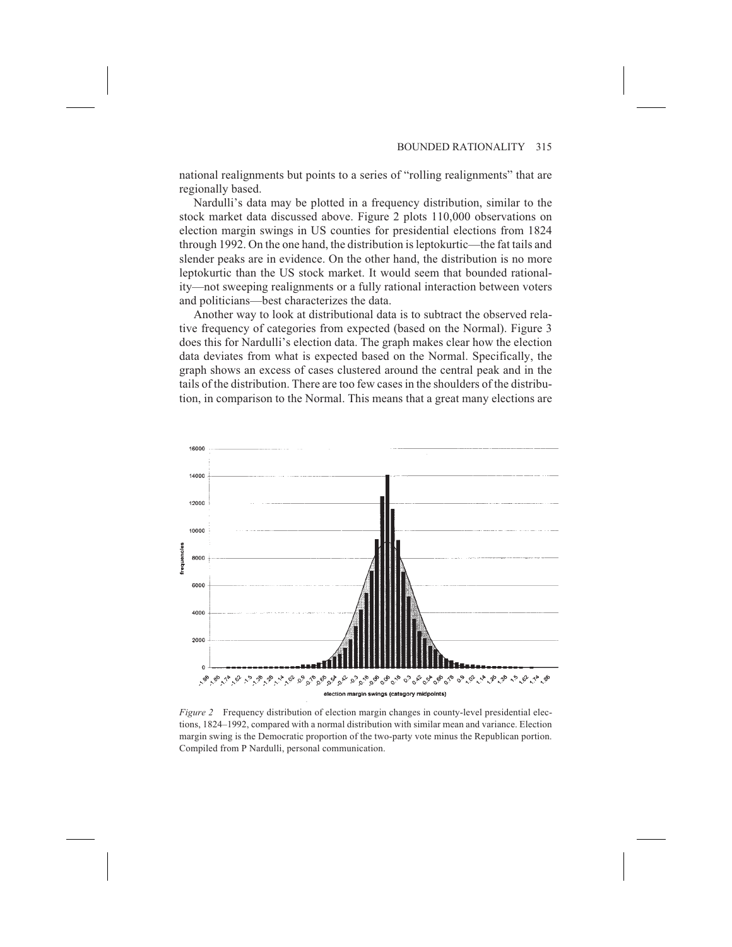national realignments but points to a series of "rolling realignments" that are regionally based.

Nardulli's data may be plotted in a frequency distribution, similar to the stock market data discussed above. Figure 2 plots 110,000 observations on election margin swings in US counties for presidential elections from 1824 through 1992. On the one hand, the distribution is leptokurtic—the fat tails and slender peaks are in evidence. On the other hand, the distribution is no more leptokurtic than the US stock market. It would seem that bounded rationality—not sweeping realignments or a fully rational interaction between voters and politicians—best characterizes the data.

Another way to look at distributional data is to subtract the observed relative frequency of categories from expected (based on the Normal). Figure 3 does this for Nardulli's election data. The graph makes clear how the election data deviates from what is expected based on the Normal. Specifically, the graph shows an excess of cases clustered around the central peak and in the tails of the distribution. There are too few cases in the shoulders of the distribution, in comparison to the Normal. This means that a great many elections are



*Figure 2* Frequency distribution of election margin changes in county-level presidential elections, 1824–1992, compared with a normal distribution with similar mean and variance. Election margin swing is the Democratic proportion of the two-party vote minus the Republican portion. Compiled from P Nardulli, personal communication.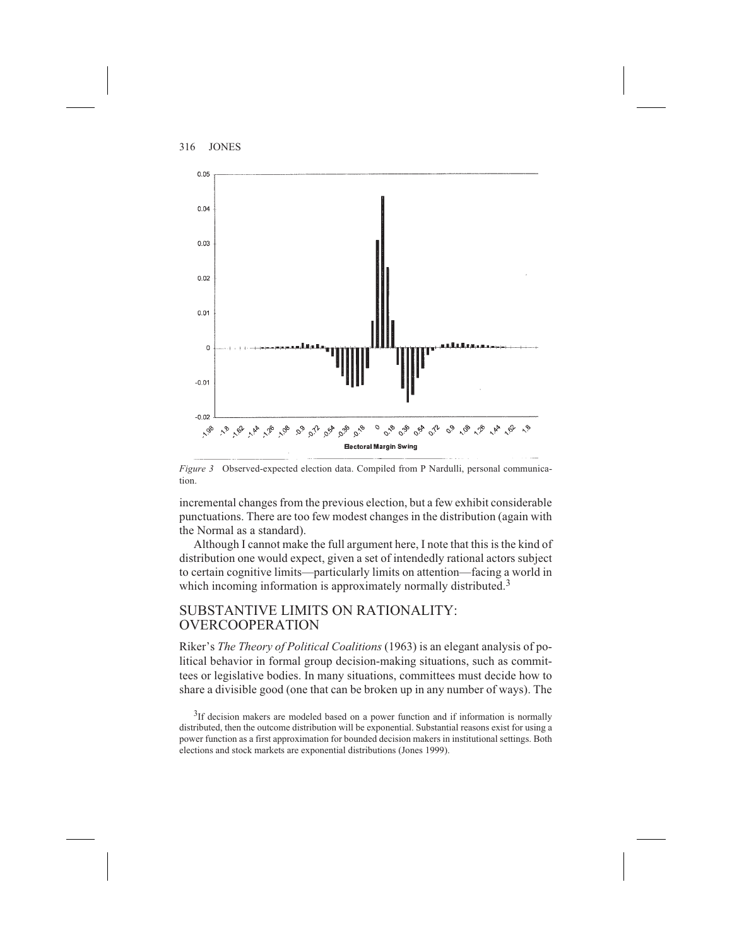

*Figure 3* Observed-expected election data. Compiled from P Nardulli, personal communication.

incremental changes from the previous election, but a few exhibit considerable punctuations. There are too few modest changes in the distribution (again with the Normal as a standard).

Although I cannot make the full argument here, I note that this is the kind of distribution one would expect, given a set of intendedly rational actors subject to certain cognitive limits—particularly limits on attention—facing a world in which incoming information is approximately normally distributed.<sup>3</sup>

# SUBSTANTIVE LIMITS ON RATIONALITY: OVERCOOPERATION

Riker's *The Theory of Political Coalitions* (1963) is an elegant analysis of political behavior in formal group decision-making situations, such as committees or legislative bodies. In many situations, committees must decide how to share a divisible good (one that can be broken up in any number of ways). The

 $3$ If decision makers are modeled based on a power function and if information is normally distributed, then the outcome distribution will be exponential. Substantial reasons exist for using a power function as a first approximation for bounded decision makers in institutional settings. Both elections and stock markets are exponential distributions (Jones 1999).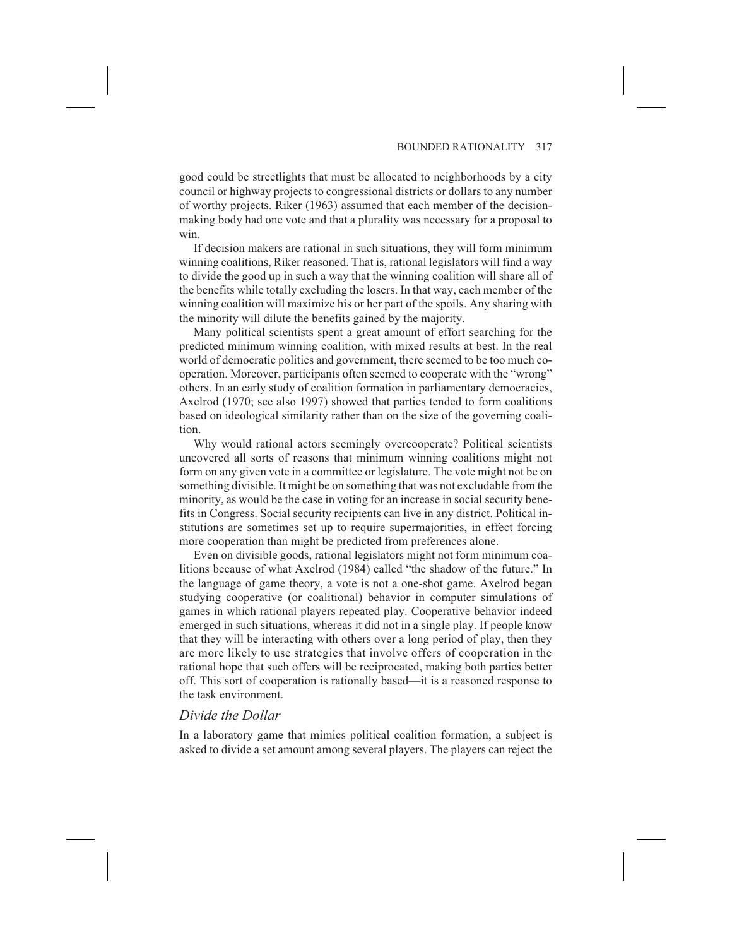good could be streetlights that must be allocated to neighborhoods by a city council or highway projects to congressional districts or dollars to any number of worthy projects. Riker (1963) assumed that each member of the decisionmaking body had one vote and that a plurality was necessary for a proposal to win.

If decision makers are rational in such situations, they will form minimum winning coalitions, Riker reasoned. That is, rational legislators will find a way to divide the good up in such a way that the winning coalition will share all of the benefits while totally excluding the losers. In that way, each member of the winning coalition will maximize his or her part of the spoils. Any sharing with the minority will dilute the benefits gained by the majority.

Many political scientists spent a great amount of effort searching for the predicted minimum winning coalition, with mixed results at best. In the real world of democratic politics and government, there seemed to be too much cooperation. Moreover, participants often seemed to cooperate with the "wrong" others. In an early study of coalition formation in parliamentary democracies, Axelrod (1970; see also 1997) showed that parties tended to form coalitions based on ideological similarity rather than on the size of the governing coalition.

Why would rational actors seemingly overcooperate? Political scientists uncovered all sorts of reasons that minimum winning coalitions might not form on any given vote in a committee or legislature. The vote might not be on something divisible. It might be on something that was not excludable from the minority, as would be the case in voting for an increase in social security benefits in Congress. Social security recipients can live in any district. Political institutions are sometimes set up to require supermajorities, in effect forcing more cooperation than might be predicted from preferences alone.

Even on divisible goods, rational legislators might not form minimum coalitions because of what Axelrod (1984) called "the shadow of the future." In the language of game theory, a vote is not a one-shot game. Axelrod began studying cooperative (or coalitional) behavior in computer simulations of games in which rational players repeated play. Cooperative behavior indeed emerged in such situations, whereas it did not in a single play. If people know that they will be interacting with others over a long period of play, then they are more likely to use strategies that involve offers of cooperation in the rational hope that such offers will be reciprocated, making both parties better off. This sort of cooperation is rationally based—it is a reasoned response to the task environment.

#### *Divide the Dollar*

In a laboratory game that mimics political coalition formation, a subject is asked to divide a set amount among several players. The players can reject the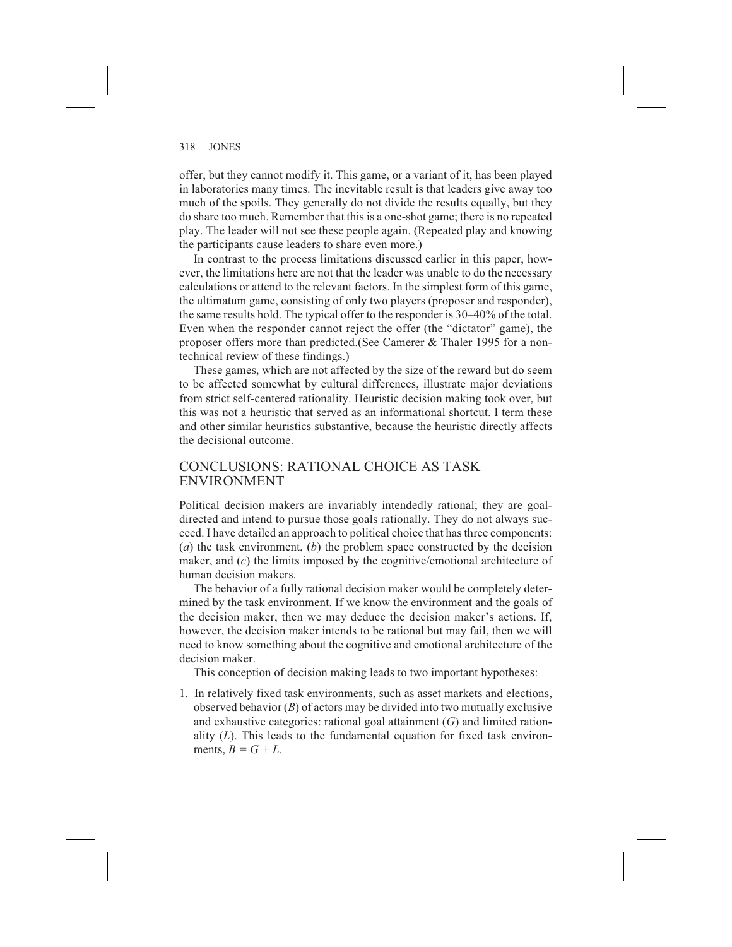offer, but they cannot modify it. This game, or a variant of it, has been played in laboratories many times. The inevitable result is that leaders give away too much of the spoils. They generally do not divide the results equally, but they do share too much. Remember that this is a one-shot game; there is no repeated play. The leader will not see these people again. (Repeated play and knowing the participants cause leaders to share even more.)

In contrast to the process limitations discussed earlier in this paper, however, the limitations here are not that the leader was unable to do the necessary calculations or attend to the relevant factors. In the simplest form of this game, the ultimatum game, consisting of only two players (proposer and responder), the same results hold. The typical offer to the responder is 30–40% of the total. Even when the responder cannot reject the offer (the "dictator" game), the proposer offers more than predicted.(See Camerer & Thaler 1995 for a nontechnical review of these findings.)

These games, which are not affected by the size of the reward but do seem to be affected somewhat by cultural differences, illustrate major deviations from strict self-centered rationality. Heuristic decision making took over, but this was not a heuristic that served as an informational shortcut. I term these and other similar heuristics substantive, because the heuristic directly affects the decisional outcome.

# CONCLUSIONS: RATIONAL CHOICE AS TASK ENVIRONMENT

Political decision makers are invariably intendedly rational; they are goaldirected and intend to pursue those goals rationally. They do not always succeed. I have detailed an approach to political choice that has three components: (*a*) the task environment, (*b*) the problem space constructed by the decision maker, and (*c*) the limits imposed by the cognitive/emotional architecture of human decision makers.

The behavior of a fully rational decision maker would be completely determined by the task environment. If we know the environment and the goals of the decision maker, then we may deduce the decision maker's actions. If, however, the decision maker intends to be rational but may fail, then we will need to know something about the cognitive and emotional architecture of the decision maker.

This conception of decision making leads to two important hypotheses:

1. In relatively fixed task environments, such as asset markets and elections, observed behavior (*B*) of actors may be divided into two mutually exclusive and exhaustive categories: rational goal attainment (*G*) and limited rationality (*L*). This leads to the fundamental equation for fixed task environments,  $B = G + L$ .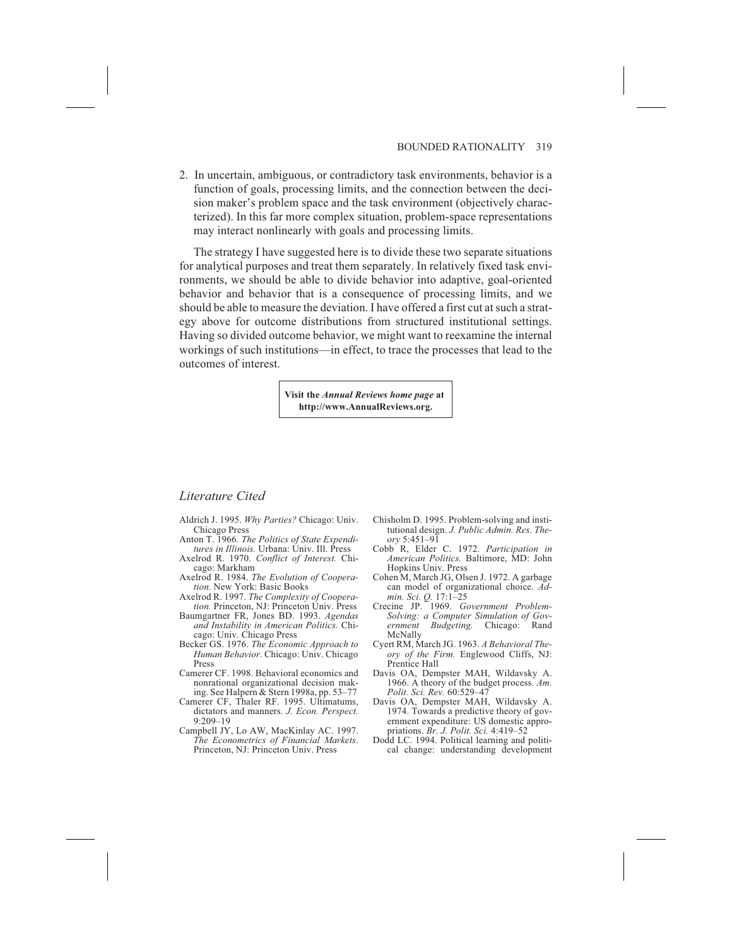2. In uncertain, ambiguous, or contradictory task environments, behavior is a function of goals, processing limits, and the connection between the decision maker's problem space and the task environment (objectively characterized). In this far more complex situation, problem-space representations may interact nonlinearly with goals and processing limits.

The strategy I have suggested here is to divide these two separate situations for analytical purposes and treat them separately. In relatively fixed task environments, we should be able to divide behavior into adaptive, goal-oriented behavior and behavior that is a consequence of processing limits, and we should be able to measure the deviation. I have offered a first cut at such a strategy above for outcome distributions from structured institutional settings. Having so divided outcome behavior, we might want to reexamine the internal workings of such institutions—in effect, to trace the processes that lead to the outcomes of interest.

> **Visit the** *Annual Reviews home page* **at http://www.AnnualReviews.org.**

#### *Literature Cited*

- Aldrich J. 1995. *Why Parties?* Chicago: Univ. Chicago Press
- Anton T. 1966. *The Politics of State Expenditures in Illinois.* Urbana: Univ. Ill. Press
- Axelrod R. 1970. *Conflict of Interest.* Chicago: Markham
- Axelrod R. 1984. *The Evolution of Cooperation.* New York: Basic Books
- Axelrod R. 1997. *The Complexity of Cooperation.* Princeton, NJ: Princeton Univ. Press
- Baumgartner FR, Jones BD. 1993. *Agendas and Instability in American Politics.* Chicago: Univ. Chicago Press
- Becker GS. 1976. *The Economic Approach to Human Behavior.* Chicago: Univ. Chicago Press
- Camerer CF. 1998. Behavioral economics and nonrational organizational decision making. See Halpern & Stern 1998a, pp. 53–77
- Camerer CF, Thaler RF. 1995. Ultimatums, dictators and manners. *J. Econ. Perspect.* 9:209–19
- Campbell JY, Lo AW, MacKinlay AC. 1997. *The Econometrics of Financial Markets*. Princeton, NJ: Princeton Univ. Press
- Chisholm D. 1995. Problem-solving and institutional design. *J. Public Admin. Res. Theory* 5:451–91
- Cobb R, Elder C. 1972. *Participation in American Politics.* Baltimore, MD: John Hopkins Univ. Press
- Cohen M, March JG, Olsen J. 1972. A garbage can model of organizational choice. *Admin. Sci. Q.* 17:1–25
- Crecine JP. 1969. *Government Problem-Solving: a Computer Simulation of Government Budgeting.* Chicago: Rand McNally
- Cyert RM, March JG. 1963. *A Behavioral Theory of the Firm.* Englewood Cliffs, NJ: Prentice Hall
- Davis OA, Dempster MAH, Wildavsky A. 1966. A theory of the budget process. *Am. Polit. Sci. Rev.* 60:529–47
- Davis OA, Dempster MAH, Wildavsky A. 1974. Towards a predictive theory of government expenditure: US domestic appropriations. *Br. J. Polit. Sci.* 4:419–52
- Dodd LC. 1994. Political learning and political change: understanding development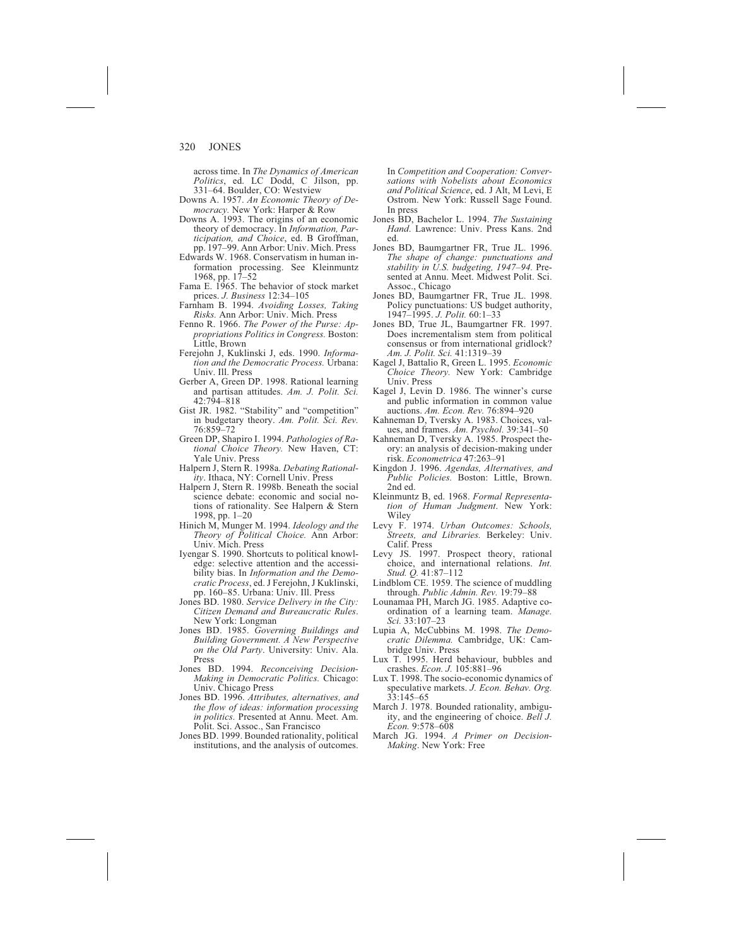across time. In *The Dynamics of American Politics*, ed. LC Dodd, C Jilson, pp. 331–64. Boulder, CO: Westview

- Downs A. 1957. *An Economic Theory of Democracy.* New York: Harper & Row
- Downs A. 1993. The origins of an economic theory of democracy. In *Information, Participation, and Choice*, ed. B Groffman, pp. 197–99. Ann Arbor: Univ. Mich. Press
- Edwards W. 1968. Conservatism in human information processing. See Kleinmuntz 1968, pp. 17–52
- Fama E. 1965. The behavior of stock market prices. *J. Business* 12:34–105
- Farnham B. 1994. *Avoiding Losses, Taking Risks.* Ann Arbor: Univ. Mich. Press
- Fenno R. 1966. *The Power of the Purse: Appropriations Politics in Congress.* Boston: Little, Brown
- Ferejohn J, Kuklinski J, eds. 1990. *Information and the Democratic Process.* Urbana: Univ. Ill. Press
- Gerber A, Green DP. 1998. Rational learning and partisan attitudes. *Am. J. Polit. Sci.* 42:794–818
- Gist JR. 1982. "Stability" and "competition" in budgetary theory. *Am. Polit. Sci. Rev.* 76:859–72
- Green DP, Shapiro I. 1994. *Pathologies of Rational Choice Theory.* New Haven, CT: Yale Univ. Press
- Halpern J, Stern R. 1998a. *Debating Rational*ity. Ithaca, NY: Cornell Univ. Press
- Halpern J, Stern R. 1998b. Beneath the social science debate: economic and social notions of rationality. See Halpern & Stern 1998, pp. 1–20
- Hinich M, Munger M. 1994. *Ideology and the Theory of Political Choice.* Ann Arbor: Univ. Mich. Press
- Iyengar S. 1990. Shortcuts to political knowledge: selective attention and the accessibility bias. In *Information and the Democratic Process*, ed. J Ferejohn, J Kuklinski, pp. 160–85. Urbana: Univ. Ill. Press
- Jones BD. 1980. *Service Delivery in the City: Citizen Demand and Bureaucratic Rules*. New York: Longman
- Jones BD. 1985. *Governing Buildings and Building Government. A New Perspective on the Old Party*. University: Univ. Ala. Press
- Jones BD. 1994. *Reconceiving Decision-Making in Democratic Politics.* Chicago: Univ. Chicago Press
- Jones BD. 1996. *Attributes, alternatives, and the flow of ideas: information processing in politics.* Presented at Annu. Meet. Am. Polit. Sci. Assoc., San Francisco
- Jones BD. 1999. Bounded rationality, political institutions, and the analysis of outcomes.

In *Competition and Cooperation: Conversations with Nobelists about Economics and Political Science*, ed. J Alt, M Levi, E Ostrom. New York: Russell Sage Found. In press

- Jones BD, Bachelor L. 1994. *The Sustaining Hand*. Lawrence: Univ. Press Kans. 2nd ed.
- Jones BD, Baumgartner FR, True JL. 1996. *The shape of change: punctuations and stability in U.S. budgeting, 1947–94.* Presented at Annu. Meet. Midwest Polit. Sci. Assoc., Chicago
- Jones BD, Baumgartner FR, True JL. 1998. Policy punctuations: US budget authority, 1947–1995. *J. Polit.* 60:1–33
- Jones BD, True JL, Baumgartner FR. 1997. Does incrementalism stem from political consensus or from international gridlock? *Am. J. Polit. Sci.* 41:1319–39
- Kagel J, Battalio R, Green L. 1995. *Economic Choice Theory.* New York: Cambridge Univ. Press
- Kagel J, Levin D. 1986. The winner's curse and public information in common value auctions. *Am. Econ. Rev.* 76:894–920
- Kahneman D, Tversky A. 1983. Choices, values, and frames. *Am. Psychol.* 39:341–50
- Kahneman D, Tversky A. 1985. Prospect theory: an analysis of decision-making under risk. *Econometrica* 47:263–91
- Kingdon J. 1996. *Agendas, Alternatives, and Public Policies.* Boston: Little, Brown. 2nd ed.
- Kleinmuntz B, ed. 1968. *Formal Representation of Human Judgment*. New York: Wiley
- Levy F. 1974. *Urban Outcomes: Schools, Streets, and Libraries.* Berkeley: Univ. Calif. Press
- Levy JS. 1997. Prospect theory, rational choice, and international relations. *Int. Stud. Q.* 41:87–112
- Lindblom CE. 1959. The science of muddling through. *Public Admin. Rev.* 19:79–88
- Lounamaa PH, March JG. 1985. Adaptive coordination of a learning team. *Manage. Sci.* 33:107–23
- Lupia A, McCubbins M. 1998. *The Democratic Dilemma.* Cambridge, UK: Cambridge Univ. Press
- Lux T. 1995. Herd behaviour, bubbles and crashes. *Econ. J.* 105:881–96
- Lux T. 1998. The socio-economic dynamics of speculative markets. *J. Econ. Behav. Org.* 33:145–65
- March J. 1978. Bounded rationality, ambiguity, and the engineering of choice. *Bell J. Econ.* 9:578–608
- March JG. 1994. *A Primer on Decision-Making*. New York: Free